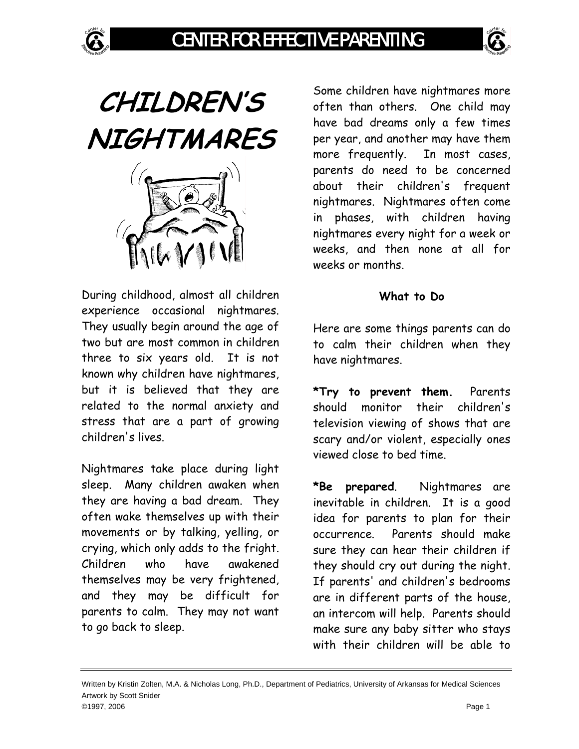

**CHILDREN'S NIGHTMARES** 



During childhood, almost all children experience occasional nightmares. They usually begin around the age of two but are most common in children three to six years old. It is not known why children have nightmares, but it is believed that they are related to the normal anxiety and stress that are a part of growing children's lives.

Nightmares take place during light sleep. Many children awaken when they are having a bad dream. They often wake themselves up with their movements or by talking, yelling, or crying, which only adds to the fright. Children who have awakened themselves may be very frightened, and they may be difficult for parents to calm. They may not want to go back to sleep.

Some children have nightmares more often than others. One child may have bad dreams only a few times per year, and another may have them more frequently. In most cases, parents do need to be concerned about their children's frequent nightmares. Nightmares often come in phases, with children having nightmares every night for a week or weeks, and then none at all for weeks or months.

## **What to Do**

Here are some things parents can do to calm their children when they have nightmares.

**\*Try to prevent them.** Parents should monitor their children's television viewing of shows that are scary and/or violent, especially ones viewed close to bed time.

**\*Be prepared**. Nightmares are inevitable in children. It is a good idea for parents to plan for their occurrence. Parents should make sure they can hear their children if they should cry out during the night. If parents' and children's bedrooms are in different parts of the house, an intercom will help. Parents should make sure any baby sitter who stays with their children will be able to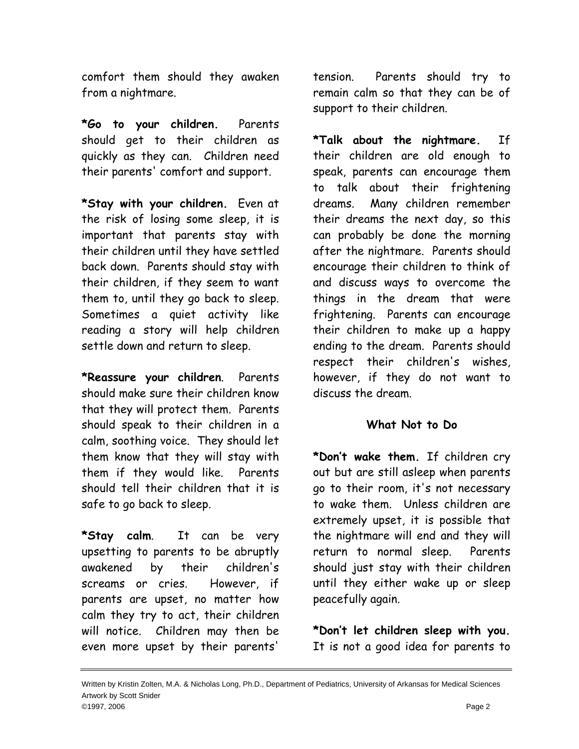comfort them should they awaken from a nightmare.

**\*Go to your children.** Parents should get to their children as quickly as they can. Children need their parents' comfort and support.

**\*Stay with your children.** Even at the risk of losing some sleep, it is important that parents stay with their children until they have settled back down. Parents should stay with their children, if they seem to want them to, until they go back to sleep. Sometimes a quiet activity like reading a story will help children settle down and return to sleep.

**\*Reassure your children**. Parents should make sure their children know that they will protect them. Parents should speak to their children in a calm, soothing voice. They should let them know that they will stay with them if they would like. Parents should tell their children that it is safe to go back to sleep.

**\*Stay calm**. It can be very upsetting to parents to be abruptly awakened by their children's screams or cries. However, if parents are upset, no matter how calm they try to act, their children will notice. Children may then be even more upset by their parents'

tension. Parents should try to remain calm so that they can be of support to their children.

**\*Talk about the nightmare.** If their children are old enough to speak, parents can encourage them to talk about their frightening dreams. Many children remember their dreams the next day, so this can probably be done the morning after the nightmare. Parents should encourage their children to think of and discuss ways to overcome the things in the dream that were frightening. Parents can encourage their children to make up a happy ending to the dream. Parents should respect their children's wishes, however, if they do not want to discuss the dream.

## **What Not to Do**

**\*Don't wake them.** If children cry out but are still asleep when parents go to their room, it's not necessary to wake them. Unless children are extremely upset, it is possible that the nightmare will end and they will return to normal sleep. Parents should just stay with their children until they either wake up or sleep peacefully again.

**\*Don't let children sleep with you.**  It is not a good idea for parents to